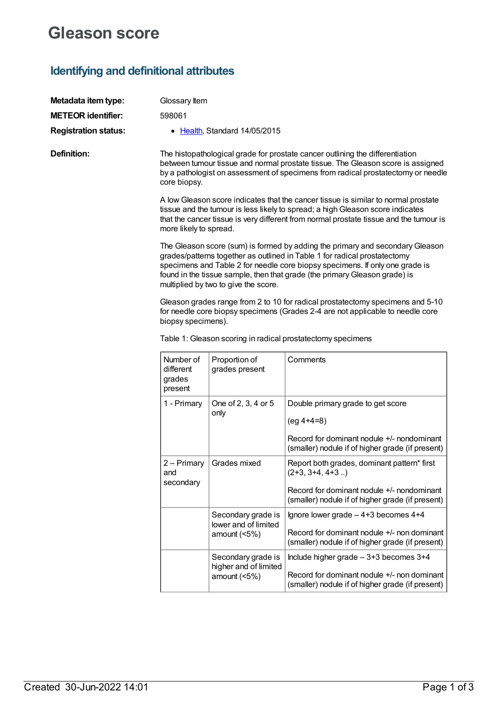## **Gleason score**

## **Identifying and definitional attributes**

| Metadata item type:<br><b>METEOR identifier:</b><br><b>Registration status:</b> | Glossary Item<br>598061                                                                                                                                                                                                                                                                                                                                          | • Health, Standard 14/05/2015                                                                                                                                                                                                                        |                                                                                                                                                                     |  |  |
|---------------------------------------------------------------------------------|------------------------------------------------------------------------------------------------------------------------------------------------------------------------------------------------------------------------------------------------------------------------------------------------------------------------------------------------------------------|------------------------------------------------------------------------------------------------------------------------------------------------------------------------------------------------------------------------------------------------------|---------------------------------------------------------------------------------------------------------------------------------------------------------------------|--|--|
| <b>Definition:</b>                                                              | core biopsy.                                                                                                                                                                                                                                                                                                                                                     | The histopathological grade for prostate cancer outlining the differentiation<br>between tumour tissue and normal prostate tissue. The Gleason score is assigned<br>by a pathologist on assessment of specimens from radical prostatectomy or needle |                                                                                                                                                                     |  |  |
|                                                                                 | A low Gleason score indicates that the cancer tissue is similar to normal prostate<br>tissue and the tumour is less likely to spread; a high Gleason score indicates<br>that the cancer tissue is very different from normal prostate tissue and the tumour is<br>more likely to spread.                                                                         |                                                                                                                                                                                                                                                      |                                                                                                                                                                     |  |  |
|                                                                                 | The Gleason score (sum) is formed by adding the primary and secondary Gleason<br>grades/patterns together as outlined in Table 1 for radical prostatectomy<br>specimens and Table 2 for needle core biopsy specimens. If only one grade is<br>found in the tissue sample, then that grade (the primary Gleason grade) is<br>multiplied by two to give the score. |                                                                                                                                                                                                                                                      |                                                                                                                                                                     |  |  |
|                                                                                 | Gleason grades range from 2 to 10 for radical prostatectomy specimens and 5-10<br>for needle core biopsy specimens (Grades 2-4 are not applicable to needle core<br>biopsy specimens).                                                                                                                                                                           |                                                                                                                                                                                                                                                      |                                                                                                                                                                     |  |  |
|                                                                                 | Table 1: Gleason scoring in radical prostatectomy specimens                                                                                                                                                                                                                                                                                                      |                                                                                                                                                                                                                                                      |                                                                                                                                                                     |  |  |
|                                                                                 | Number of<br>different<br>grades<br>present                                                                                                                                                                                                                                                                                                                      | Proportion of<br>grades present                                                                                                                                                                                                                      | Comments                                                                                                                                                            |  |  |
|                                                                                 | 1 - Primary                                                                                                                                                                                                                                                                                                                                                      | One of 2, 3, 4 or 5<br>only                                                                                                                                                                                                                          | Double primary grade to get score<br>$(eg 4+4=8)$<br>Record for dominant nodule +/- nondominant<br>(smaller) nodule if of higher grade (if present)                 |  |  |
|                                                                                 | $2 - Primary$<br>and<br>secondary                                                                                                                                                                                                                                                                                                                                | Grades mixed                                                                                                                                                                                                                                         | Report both grades, dominant pattern* first<br>$(2+3, 3+4, 4+3 )$<br>Record for dominant nodule +/- nondominant<br>(smaller) nodule if of higher grade (if present) |  |  |
|                                                                                 |                                                                                                                                                                                                                                                                                                                                                                  | Secondary grade is<br>lower and of limited<br>amount $(5%)$                                                                                                                                                                                          | Ignore lower grade $-4+3$ becomes $4+4$<br>Record for dominant nodule +/- non dominant<br>(smaller) nodule if of higher grade (if present)                          |  |  |
|                                                                                 |                                                                                                                                                                                                                                                                                                                                                                  | Secondary grade is<br>higher and of limited<br>amount $(5%)$                                                                                                                                                                                         | Include higher grade $-3+3$ becomes $3+4$<br>Record for dominant nodule +/- non dominant<br>(smaller) nodule if of higher grade (if present)                        |  |  |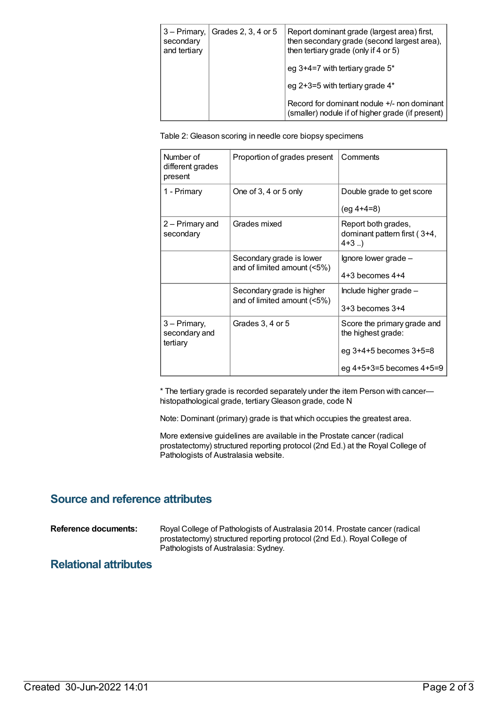| 3 – Primary,<br>secondary<br>and tertiary | Grades 2, 3, 4 or 5 | Report dominant grade (largest area) first,<br>then secondary grade (second largest area),<br>then tertiary grade (only if 4 or 5) |
|-------------------------------------------|---------------------|------------------------------------------------------------------------------------------------------------------------------------|
|                                           |                     | eg 3+4=7 with tertiary grade 5*                                                                                                    |
|                                           |                     | eg 2+3=5 with tertiary grade 4*                                                                                                    |
|                                           |                     | Record for dominant nodule +/- non dominant<br>(smaller) nodule if of higher grade (if present)                                    |

Table 2: Gleason scoring in needle core biopsy specimens

| Number of<br>different grades<br>present  | Proportion of grades present                             | Comments                                                                    |
|-------------------------------------------|----------------------------------------------------------|-----------------------------------------------------------------------------|
| 1 - Primary                               | One of 3, 4 or 5 only                                    | Double grade to get score<br>$(eg 4+4=8)$                                   |
| 2 – Primary and<br>secondary              | Grades mixed                                             | Report both grades,<br>dominant pattern first (3+4,<br>$4+3$ )              |
|                                           | Secondary grade is lower<br>and of limited amount (<5%)  | Ignore lower grade -<br>$4+3$ becomes $4+4$                                 |
|                                           | Secondary grade is higher<br>and of limited amount (<5%) | Include higher grade -<br>$3+3$ becomes $3+4$                               |
| 3 - Primary,<br>secondary and<br>tertiary | Grades 3, 4 or 5                                         | Score the primary grade and<br>the highest grade:<br>eg 3+4+5 becomes 3+5=8 |
|                                           |                                                          | eg 4+5+3=5 becomes 4+5=9                                                    |

\* The tertiary grade is recorded separately under the item Person with cancer histopathological grade, tertiary Gleason grade, code N

Note: Dominant (primary) grade is that which occupies the greatest area.

More extensive guidelines are available in the Prostate cancer (radical prostatectomy) structured reporting protocol (2nd Ed.) at the Royal College of Pathologists of Australasia website.

### **Source and reference attributes**

**Reference documents:** Royal College of Pathologists of Australasia 2014. Prostate cancer (radical prostatectomy) structured reporting protocol (2nd Ed.). Royal College of Pathologists of Australasia: Sydney.

### **Relational attributes**